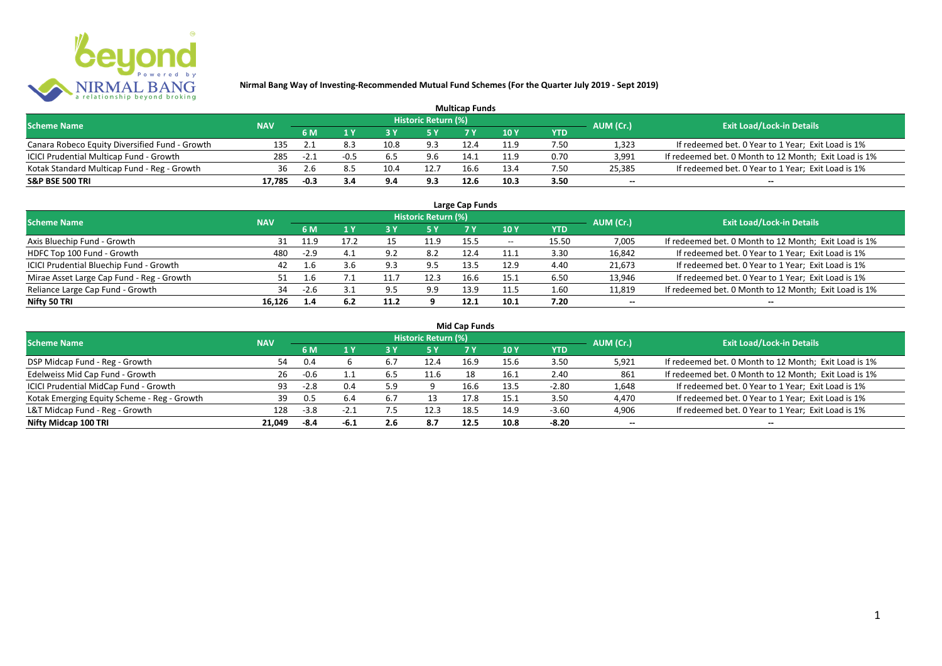

| <b>Multicap Funds</b>                          |            |        |        |      |                            |      |      |      |                          |                                                       |  |  |
|------------------------------------------------|------------|--------|--------|------|----------------------------|------|------|------|--------------------------|-------------------------------------------------------|--|--|
| <b>Scheme Name</b>                             | <b>NAV</b> |        |        |      | <b>Historic Return (%)</b> |      |      |      | AUM (Cr.)                | <b>Exit Load/Lock-in Details</b>                      |  |  |
|                                                |            | 6 M    |        |      |                            |      | 10Y  | YTD  |                          |                                                       |  |  |
| Canara Robeco Equity Diversified Fund - Growth | 135        |        | 8.3    | 10.8 | 9.3                        |      | 11.9 | 7.50 | 1,323                    | If redeemed bet. 0 Year to 1 Year; Exit Load is 1%    |  |  |
| ICICI Prudential Multicap Fund - Growth        | 285        | $-2.1$ | $-0.5$ | 6.5  | 9.6                        | 14.1 | 11.9 | 0.70 | 3,991                    | If redeemed bet. 0 Month to 12 Month; Exit Load is 1% |  |  |
| Kotak Standard Multicap Fund - Reg - Growth    | 36         |        |        | 10.4 | 12.7                       | 16.6 | 13.4 | 7.50 | 25,385                   | If redeemed bet. 0 Year to 1 Year; Exit Load is 1%    |  |  |
| S&P BSE 500 TRI                                | 17.785     | $-0.3$ |        | 9.4  | 9.3                        | 12.6 |      | 3.50 | $\overline{\phantom{a}}$ | $\overline{\phantom{a}}$                              |  |  |

| Large Cap Funds<br>Historic Return (%)    |            |        |      |      |      |      |       |            |                          |                                                       |  |  |
|-------------------------------------------|------------|--------|------|------|------|------|-------|------------|--------------------------|-------------------------------------------------------|--|--|
| <b>Scheme Name</b>                        | <b>NAV</b> | 6 M    | 1 Y  |      | 5 Y  |      | 10Y   | <b>YTD</b> | AUM (Cr.)                | <b>Exit Load/Lock-in Details</b>                      |  |  |
| Axis Bluechip Fund - Growth               | 31         | 11.9   | 17.2 |      | 11.9 | 15.5 | $- -$ | 15.50      | 7,005                    | If redeemed bet. 0 Month to 12 Month; Exit Load is 1% |  |  |
| HDFC Top 100 Fund - Growth                | 480        | $-2.9$ | 4.1  | . വ  | 8.2  | 12.4 | 11.1  | 3.30       | 16,842                   | If redeemed bet. 0 Year to 1 Year; Exit Load is 1%    |  |  |
| ICICI Prudential Bluechip Fund - Growth   | 42         | 1.6    | 3.6  | 9.3  | 9.5  | 13.5 | 12.9  | 4.40       | 21,673                   | If redeemed bet. 0 Year to 1 Year; Exit Load is 1%    |  |  |
| Mirae Asset Large Cap Fund - Reg - Growth |            | 1.6    |      | 11.7 | 12.3 | 16.6 | 15.1  | 6.50       | 13,946                   | If redeemed bet. 0 Year to 1 Year; Exit Load is 1%    |  |  |
| Reliance Large Cap Fund - Growth          | 34         | $-2.6$ |      | 9.5  | 9.9  | 13.9 | 11.5  | 1.60       | 11,819                   | If redeemed bet. 0 Month to 12 Month; Exit Load is 1% |  |  |
| Nifty 50 TRI                              | 16.126     | 1.4    | 6.2  | 11.2 |      | 12.1 | 10.1  | 7.20       | $\overline{\phantom{a}}$ | $\overline{\phantom{a}}$                              |  |  |

| <b>Mid Cap Funds</b> |  |
|----------------------|--|
|----------------------|--|

| <b>Scheme Name</b>                          | <b>NAV</b> |        |        |     | Historic Return (%) |      |      |            | AUM (Cr.)                | <b>Exit Load/Lock-in Details</b>                      |
|---------------------------------------------|------------|--------|--------|-----|---------------------|------|------|------------|--------------------------|-------------------------------------------------------|
|                                             |            | 6 M    |        |     | /5 Y                | 7 Y. | 10Y  | <b>YTD</b> |                          |                                                       |
| DSP Midcap Fund - Reg - Growth              | 54         | 0.4    |        |     | 12.4                | 16.9 | 15.6 | 3.50       | 5.921                    | If redeemed bet. 0 Month to 12 Month; Exit Load is 1% |
| Edelweiss Mid Cap Fund - Growth             | 26         | $-0.6$ |        |     | 11.6                | 18   | 16.1 | 2.40       | 861                      | If redeemed bet. 0 Month to 12 Month; Exit Load is 1% |
| ICICI Prudential MidCap Fund - Growth       | 93.        | $-2.8$ | 0.4    | 5.9 |                     | 16.6 | 13.5 | $-2.80$    | 1,648                    | If redeemed bet. 0 Year to 1 Year; Exit Load is 1%    |
| Kotak Emerging Equity Scheme - Reg - Growth | 39         | 0.5    |        |     |                     | 17.8 | 15.1 | 3.50       | 4,470                    | If redeemed bet. 0 Year to 1 Year; Exit Load is 1%    |
| L&T Midcap Fund - Reg - Growth              | 128        | $-3.8$ | $-2.1$ | 7.5 | 12.3                | 18.5 | 14.9 | $-3.60$    | 4,906                    | If redeemed bet. 0 Year to 1 Year; Exit Load is 1%    |
| Nifty Midcap 100 TRI                        | 21.049     | -8.4   | -6.1   | 2.6 | 8.7                 | 12.5 | 10.8 | $-8.20$    | $\overline{\phantom{a}}$ | $\overline{\phantom{a}}$                              |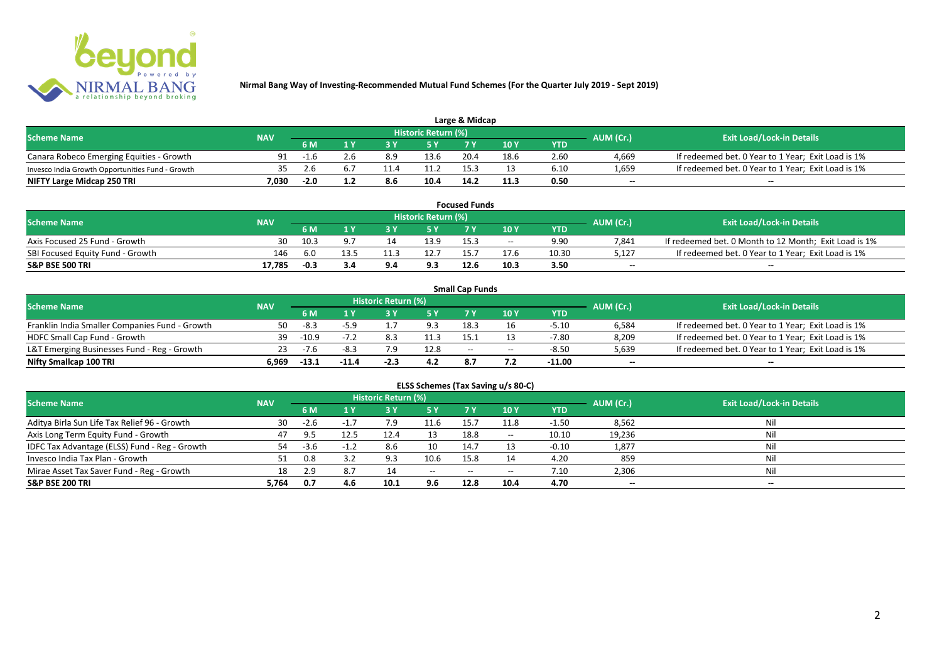

| Large & Midcap                                   |            |        |     |     |                     |      |      |      |                          |                                                    |  |  |
|--------------------------------------------------|------------|--------|-----|-----|---------------------|------|------|------|--------------------------|----------------------------------------------------|--|--|
| <b>Scheme Name</b>                               | <b>NAV</b> |        |     |     | Historic Return (%) |      |      |      | AUM (Cr.)                | <b>Exit Load/Lock-in Details</b>                   |  |  |
|                                                  |            | 6 M    |     |     |                     | 7 M  | 10Y  | YTD  |                          |                                                    |  |  |
| Canara Robeco Emerging Equities - Growth         | 91         | -1.6   |     | 8.9 | 13.6                | 20.4 | 18.6 | 2.60 | 4.669                    | If redeemed bet. 0 Year to 1 Year; Exit Load is 1% |  |  |
| Invesco India Growth Opportunities Fund - Growth | 35.        |        | 6.1 |     | 11.2                |      |      | 6.10 | 1,659                    | If redeemed bet. 0 Year to 1 Year; Exit Load is 1% |  |  |
| NIFTY Large Midcap 250 TRI                       | 7.030      | $-2.0$ |     | 8.6 | 10.4                | 14.2 | 11.3 | 0.50 | $\overline{\phantom{a}}$ | $- -$                                              |  |  |

| <b>Focused Funds</b>             |            |        |      |  |                     |      |       |            |                          |                                                       |  |  |
|----------------------------------|------------|--------|------|--|---------------------|------|-------|------------|--------------------------|-------------------------------------------------------|--|--|
| <b>Scheme Name</b>               | <b>NAV</b> |        |      |  | Historic Return (%) |      |       |            | AUM (Cr.)                | <b>Exit Load/Lock-in Details</b>                      |  |  |
|                                  |            | 6 M    |      |  | <b>EV</b>           |      | 10 Y  | <b>YTD</b> |                          |                                                       |  |  |
| Axis Focused 25 Fund - Growth    | 30         | 10.3   |      |  | 13.9                | 15.3 | $- -$ | 9.90       | 7.841                    | If redeemed bet. 0 Month to 12 Month; Exit Load is 1% |  |  |
| SBI Focused Equity Fund - Growth | 146        | 6.0    | 13.5 |  | 12.7                | 15.  |       | 10.30      | 5,127                    | If redeemed bet. 0 Year to 1 Year; Exit Load is 1%    |  |  |
| S&P BSE 500 TRI                  | 17.785     | $-0.3$ | 3.4  |  | 9.3                 | 12.6 | 10.3  | 3.50       | $\overline{\phantom{a}}$ | $- -$                                                 |  |  |

|                                                |            |         |         |                     |      | <b>Small Cap Funds</b> |                                       |          |                          |                                                    |
|------------------------------------------------|------------|---------|---------|---------------------|------|------------------------|---------------------------------------|----------|--------------------------|----------------------------------------------------|
| <b>Scheme Name</b>                             | <b>NAV</b> |         |         | Historic Return (%) |      |                        |                                       |          | AUM (Cr.)                | <b>Exit Load/Lock-in Details</b>                   |
|                                                |            | 6 M     |         |                     |      |                        | 10 Y                                  | YTD      |                          |                                                    |
| Franklin India Smaller Companies Fund - Growth | 50         | $-8.3$  |         |                     | 9.3  | 18.3                   |                                       | $-5.10$  | 6,584                    | If redeemed bet. 0 Year to 1 Year; Exit Load is 1% |
| HDFC Small Cap Fund - Growth                   | 39         | $-10.9$ | $-7.2$  |                     | 11.3 | 15.                    |                                       | $-7.80$  | 8,209                    | If redeemed bet. 0 Year to 1 Year; Exit Load is 1% |
| L&T Emerging Businesses Fund - Reg - Growth    | 23         | $-7.6$  | -8.3    | 7.9                 | 12.8 | $-$                    | $\hspace{0.05cm}$ – $\hspace{0.05cm}$ | $-8.50$  | 5,639                    | If redeemed bet. 0 Year to 1 Year; Exit Load is 1% |
| Nifty Smallcap 100 TRI                         | 6.969      | $-13.1$ | $-11.4$ | $-2.3$              | 4.2  | 8.7                    |                                       | $-11.00$ | $\overline{\phantom{a}}$ | $-$                                                |

| ELSS Schemes (Tax Saving u/s 80-C)            |            |        |        |                            |                          |           |       |            |                          |                                  |  |  |
|-----------------------------------------------|------------|--------|--------|----------------------------|--------------------------|-----------|-------|------------|--------------------------|----------------------------------|--|--|
| <b>Scheme Name</b>                            | <b>NAV</b> |        |        | <b>Historic Return (%)</b> |                          |           |       |            | AUM (Cr.)                | <b>Exit Load/Lock-in Details</b> |  |  |
|                                               |            | 6 M    | 1 Y    | 3 Y                        | 75 Y                     | <b>7Y</b> | 10Y   | <b>YTD</b> |                          |                                  |  |  |
| Aditya Birla Sun Life Tax Relief 96 - Growth  | 30         | $-2.6$ | $-1.7$ | 7.9                        | 11.6                     | 15.7      | 11.8  | $-1.50$    | 8,562                    | Nil                              |  |  |
| Axis Long Term Equity Fund - Growth           | 47         | 9.5    | 12.5   | 12.4                       |                          | 18.8      | $- -$ | 10.10      | 19,236                   | Nil                              |  |  |
| IDFC Tax Advantage (ELSS) Fund - Reg - Growth | 54         | $-3.6$ | $-1.2$ | 8.6                        | 10                       | 14.7      |       | $-0.10$    | 1,877                    | Nil                              |  |  |
| Invesco India Tax Plan - Growth               | 51         | 0.8    |        |                            | 10.6                     | 15.8      |       | 4.20       | 859                      | Nil                              |  |  |
| Mirae Asset Tax Saver Fund - Reg - Growth     | 18         | 2.9    | 8.7    |                            | $\hspace{0.05cm} \ldots$ | $-$       | $- -$ | 7.10       | 2,306                    | Nil                              |  |  |
| <b>S&amp;P BSE 200 TRI</b>                    | 5.764      | 0.7    | 4.6    | 10.1                       | 9.6                      | 12.8      | 10.4  | 4.70       | $\overline{\phantom{a}}$ | $\overline{\phantom{a}}$         |  |  |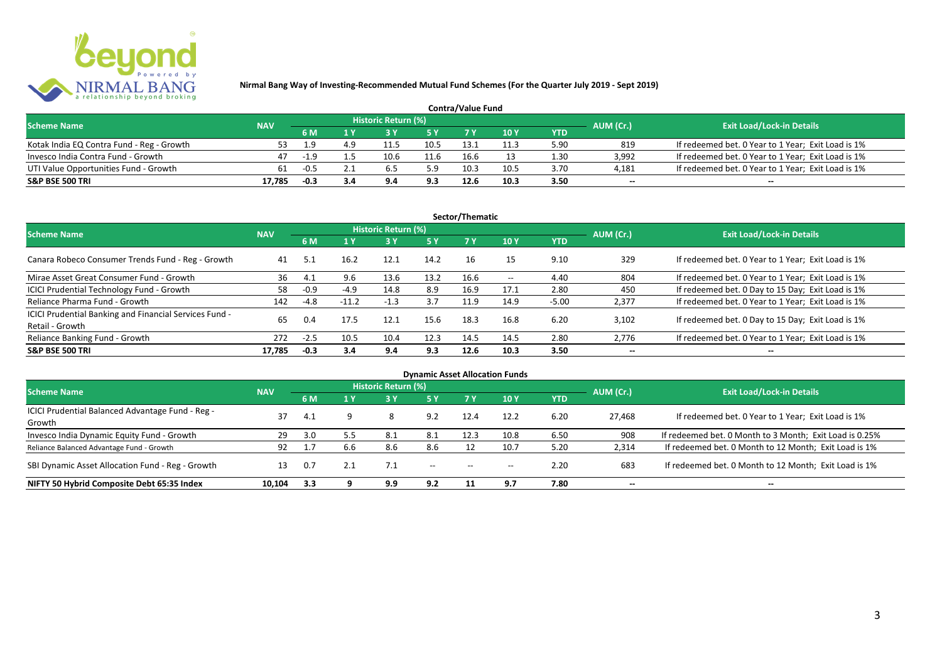

| <b>Contra/Value Fund</b>                  |            |        |     |                     |      |      |      |      |                          |                                                    |  |  |
|-------------------------------------------|------------|--------|-----|---------------------|------|------|------|------|--------------------------|----------------------------------------------------|--|--|
| <b>Scheme Name</b>                        | <b>NAV</b> |        |     | Historic Return (%) |      |      |      |      | AUM (Cr.)                | <b>Exit Load/Lock-in Details</b>                   |  |  |
|                                           |            | 6 M    |     |                     |      |      | 10 Y | YTD  |                          |                                                    |  |  |
| Kotak India EQ Contra Fund - Reg - Growth | 53.        |        | 4 q | 11.5                | 10.5 | 13.: |      | 5.90 | 819                      | If redeemed bet. 0 Year to 1 Year; Exit Load is 1% |  |  |
| Invesco India Contra Fund - Growth        | 47         | $-1.9$ |     | 10.6                | 11.6 | 16.6 |      | 1.30 | 3.992                    | If redeemed bet. 0 Year to 1 Year; Exit Load is 1% |  |  |
| UTI Value Opportunities Fund - Growth     | 61         | $-0.5$ |     |                     | 5.9  | 10.3 | 10.5 | 3.70 | 4,181                    | If redeemed bet. 0 Year to 1 Year; Exit Load is 1% |  |  |
| <b>S&amp;P BSE 500 TRI</b>                | 17.785     | $-0.3$ | 3.4 |                     | 9.3  |      | 10.3 | 3.50 | $\overline{\phantom{a}}$ | $\qquad \qquad$                                    |  |  |

|                                                                           |            |        |         |                     |           | Sector/Thematic |                   |            |                          |                                                    |
|---------------------------------------------------------------------------|------------|--------|---------|---------------------|-----------|-----------------|-------------------|------------|--------------------------|----------------------------------------------------|
| <b>Scheme Name</b>                                                        | <b>NAV</b> |        |         | Historic Return (%) |           |                 |                   |            | AUM (Cr.)                | <b>Exit Load/Lock-in Details</b>                   |
|                                                                           |            | 6 M    | 1 Y     |                     | <b>5Y</b> | 7Y              | 10Y               | <b>YTD</b> |                          |                                                    |
| Canara Robeco Consumer Trends Fund - Reg - Growth                         | 41         | 5.1    | 16.2    | 12.1                | 14.2      | 16              | 15                | 9.10       | 329                      | If redeemed bet. 0 Year to 1 Year; Exit Load is 1% |
| Mirae Asset Great Consumer Fund - Growth                                  | 36         | 4.1    | 9.6     | 13.6                | 13.2      | 16.6            | $\hspace{0.05cm}$ | 4.40       | 804                      | If redeemed bet. 0 Year to 1 Year; Exit Load is 1% |
| ICICI Prudential Technology Fund - Growth                                 | 58         | $-0.9$ | $-4.9$  | 14.8                | 8.9       | 16.9            | 17.1              | 2.80       | 450                      | If redeemed bet. 0 Day to 15 Day; Exit Load is 1%  |
| Reliance Pharma Fund - Growth                                             | 142        | $-4.8$ | $-11.2$ | $-1.3$              | 3.7       | 11.9            | 14.9              | $-5.00$    | 2,377                    | If redeemed bet. 0 Year to 1 Year; Exit Load is 1% |
| ICICI Prudential Banking and Financial Services Fund -<br>Retail - Growth | 65         | 0.4    | 17.5    | 12.1                | 15.6      | 18.3            | 16.8              | 6.20       | 3.102                    | If redeemed bet. 0 Day to 15 Day; Exit Load is 1%  |
| Reliance Banking Fund - Growth                                            | 272        | $-2.5$ | 10.5    | 10.4                | 12.3      | 14.5            | 14.5              | 2.80       | 2,776                    | If redeemed bet. 0 Year to 1 Year; Exit Load is 1% |
| <b>S&amp;P BSE 500 TRI</b>                                                | 17.785     | $-0.3$ | 3.4     | 9.4                 | 9.3       | 12.6            | 10.3              | 3.50       | $\overline{\phantom{a}}$ | $- -$                                              |

|                                                            |            |     |     |                     |                                       |                   | <b>Dynamic Asset Allocation Funds</b> |            |                          |                                                         |
|------------------------------------------------------------|------------|-----|-----|---------------------|---------------------------------------|-------------------|---------------------------------------|------------|--------------------------|---------------------------------------------------------|
| <b>Scheme Name</b>                                         | <b>NAV</b> |     |     | Historic Return (%) |                                       |                   |                                       |            | AUM (Cr.)                | <b>Exit Load/Lock-in Details</b>                        |
|                                                            |            | 6 M | 1 Y | 3 Y                 | <b>5Y</b>                             |                   | 10 Y                                  | <b>YTD</b> |                          |                                                         |
| ICICI Prudential Balanced Advantage Fund - Reg -<br>Growth | 37         | 4.1 |     |                     | 9.2                                   | 12.4              | 12.2                                  | 6.20       | 27.468                   | If redeemed bet. 0 Year to 1 Year; Exit Load is 1%      |
| Invesco India Dynamic Equity Fund - Growth                 | 29         | 3.0 | 5.5 | 8.1                 | 8.1                                   | 12.3              | 10.8                                  | 6.50       | 908                      | If redeemed bet. 0 Month to 3 Month; Exit Load is 0.25% |
| Reliance Balanced Advantage Fund - Growth                  | 92         |     | 6.6 | 8.6                 | 8.6                                   |                   | 10.7                                  | 5.20       | 2,314                    | If redeemed bet. 0 Month to 12 Month; Exit Load is 1%   |
| SBI Dynamic Asset Allocation Fund - Reg - Growth           | 13         | 0.7 |     | 7.1                 | $\hspace{0.05cm}$ – $\hspace{0.05cm}$ | $\hspace{0.05cm}$ | $- -$                                 | 2.20       | 683                      | If redeemed bet. 0 Month to 12 Month; Exit Load is 1%   |
| NIFTY 50 Hybrid Composite Debt 65:35 Index                 | 10.104     | 3.3 |     | 9.9                 | 9.2                                   |                   | 9.7                                   | 7.80       | $\overline{\phantom{a}}$ | $\!-$                                                   |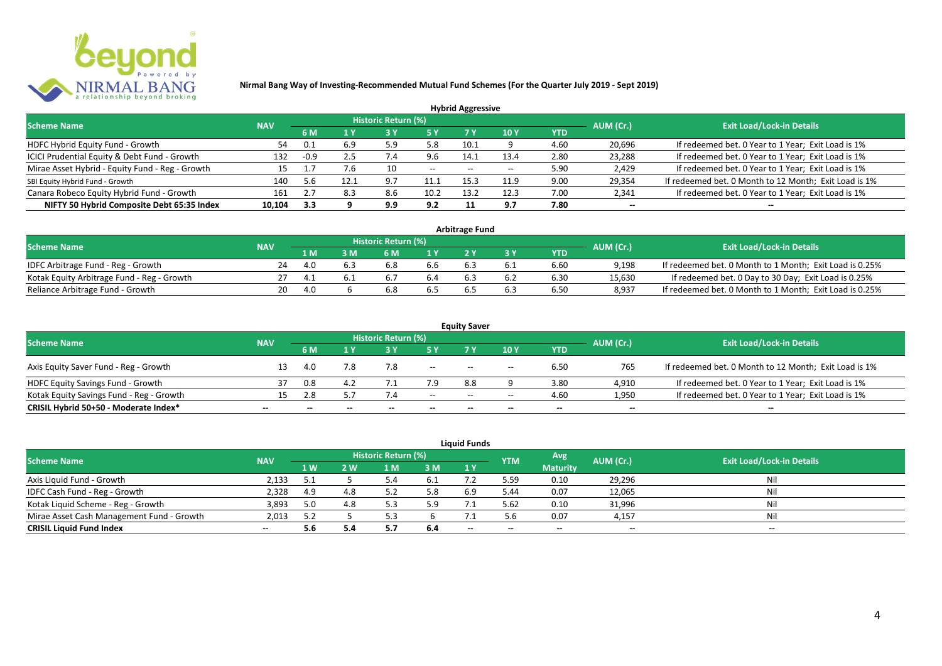

|                                                 |            |        |      |                            |       | <b>Hybrid Aggressive</b> |      |      |                          |                                                       |
|-------------------------------------------------|------------|--------|------|----------------------------|-------|--------------------------|------|------|--------------------------|-------------------------------------------------------|
| <b>Scheme Name</b>                              | <b>NAV</b> |        |      | <b>Historic Return (%)</b> |       |                          |      |      | AUM (Cr.)                | <b>Exit Load/Lock-in Details</b>                      |
|                                                 |            | 6 M    | 1 Y  |                            |       | 7 Y                      | 10Y  | YTD  |                          |                                                       |
| HDFC Hybrid Equity Fund - Growth                | 54         |        | 6.9  | 5.9                        | 5.8   | 10.1                     |      | 4.60 | 20,696                   | If redeemed bet. 0 Year to 1 Year; Exit Load is 1%    |
| ICICI Prudential Equity & Debt Fund - Growth    | 132        | $-0.9$ | 2.5  |                            | 9.6   | 14.1                     | 13.4 | 2.80 | 23,288                   | If redeemed bet. 0 Year to 1 Year; Exit Load is 1%    |
| Mirae Asset Hybrid - Equity Fund - Reg - Growth | 15         |        |      | 10                         | $- -$ | $- -$                    |      | 5.90 | 2,429                    | If redeemed bet. 0 Year to 1 Year; Exit Load is 1%    |
| SBI Equity Hybrid Fund - Growth                 | 140        | 5.6    | 12.1 |                            | 11.1  | 15.3                     | 11.9 | 9.00 | 29,354                   | If redeemed bet. 0 Month to 12 Month; Exit Load is 1% |
| Canara Robeco Equity Hybrid Fund - Growth       | 161        |        | 8.3  | 8.6                        | 10.2  | 13.7                     | 12.3 | 7.00 | 2,341                    | If redeemed bet. 0 Year to 1 Year; Exit Load is 1%    |
| NIFTY 50 Hybrid Composite Debt 65:35 Index      | 10.104     | 3.3    |      | 9.9                        | 9.2   |                          | 9.7  | 7.80 | $\overline{\phantom{a}}$ | $- -$                                                 |

| <b>Arbitrage Fund</b>                      |            |      |     |                     |     |  |     |            |           |                                                         |  |  |  |  |
|--------------------------------------------|------------|------|-----|---------------------|-----|--|-----|------------|-----------|---------------------------------------------------------|--|--|--|--|
| <b>Scheme Name</b>                         | <b>NAV</b> |      |     | Historic Return (%) |     |  |     |            | AUM (Cr.) | <b>Exit Load/Lock-in Details</b>                        |  |  |  |  |
|                                            |            | 1 M  |     | 6 M                 |     |  |     | <b>YTD</b> |           |                                                         |  |  |  |  |
| IDFC Arbitrage Fund - Reg - Growth         | 24         | 4.0  | 6.3 |                     | b.b |  |     | 6.60       | 9.198     | If redeemed bet. 0 Month to 1 Month; Exit Load is 0.25% |  |  |  |  |
| Kotak Equity Arbitrage Fund - Reg - Growth |            | -4.1 |     |                     |     |  | 6.2 | 6.30       | 15,630    | If redeemed bet. 0 Day to 30 Day; Exit Load is 0.25%    |  |  |  |  |
| Reliance Arbitrage Fund - Growth           | 20         | 4.0  |     |                     |     |  | 6.3 | 6.50       | 8.937     | If redeemed bet. 0 Month to 1 Month; Exit Load is 0.25% |  |  |  |  |

|                                          |                          |     |              |                     |                          | <b>Equity Saver</b>                   |                                       |                          |                          |                                                       |
|------------------------------------------|--------------------------|-----|--------------|---------------------|--------------------------|---------------------------------------|---------------------------------------|--------------------------|--------------------------|-------------------------------------------------------|
| <b>Scheme Name</b>                       | <b>NAV</b>               |     |              | Historic Return (%) |                          |                                       |                                       |                          | AUM (Cr.)                | <b>Exit Load/Lock-in Details</b>                      |
|                                          |                          | 6 M |              |                     |                          |                                       | 10 Y                                  | YTD                      |                          |                                                       |
| Axis Equity Saver Fund - Reg - Growth    |                          | 4.0 |              | 7.8                 | $\overline{\phantom{a}}$ | $- -$                                 | $\hspace{0.05cm}$ – $\hspace{0.05cm}$ | 6.50                     | 765                      | If redeemed bet. 0 Month to 12 Month; Exit Load is 1% |
| HDFC Equity Savings Fund - Growth        |                          | 0.8 | д,           |                     | 7.9                      | 8.8                                   |                                       | 3.80                     | 4,910                    | If redeemed bet. 0 Year to 1 Year; Exit Load is 1%    |
| Kotak Equity Savings Fund - Reg - Growth | 15.                      | 2.8 | 5.7          |                     | $- -$                    | $\hspace{0.05cm}$ – $\hspace{0.05cm}$ | $\overline{\phantom{a}}$              | 4.60                     | 1,950                    | If redeemed bet. 0 Year to 1 Year; Exit Load is 1%    |
| CRISIL Hybrid 50+50 - Moderate Index*    | $\overline{\phantom{a}}$ |     | $\mathbf{m}$ | $- -$               | $\overline{\phantom{a}}$ | $- -$                                 | $\overline{\phantom{a}}$              | $\overline{\phantom{a}}$ | $\overline{\phantom{a}}$ | $\qquad \qquad$                                       |

| <b>Liquid Funds</b>                       |            |      |     |                     |      |       |            |                 |           |                                  |  |  |  |  |
|-------------------------------------------|------------|------|-----|---------------------|------|-------|------------|-----------------|-----------|----------------------------------|--|--|--|--|
| <b>Scheme Name</b>                        | <b>NAV</b> |      |     | Historic Return (%) |      |       | <b>YTM</b> | Avg             | AUM (Cr.) | <b>Exit Load/Lock-in Details</b> |  |  |  |  |
|                                           |            | 1 W. | 2 W | 1 M                 | 3 M  | 1Y    |            | <b>Maturity</b> |           |                                  |  |  |  |  |
| Axis Liquid Fund - Growth                 | 2,133      |      |     |                     | -6.1 |       | 5.59       | 0.10            | 29,296    | Nil                              |  |  |  |  |
| IDFC Cash Fund - Reg - Growth             | 2,328      | 4.9  | 4.8 |                     |      | 6.9   | 5.44       | 0.07            | 12,065    | Nil                              |  |  |  |  |
| Kotak Liquid Scheme - Reg - Growth        | 3,893      | 5.0  | 4.8 |                     | 5.9  |       | 5.62       | 0.10            | 31,996    | Nil                              |  |  |  |  |
| Mirae Asset Cash Management Fund - Growth | 2,013      | 5.2  |     |                     |      |       | 5.6        | 0.07            | 4,157     | Nil                              |  |  |  |  |
| <b>CRISIL Liquid Fund Index</b>           | $\sim$     | 5.6  |     |                     | 6.4  | $- -$ | $- -$      | $- -$           | --        | $- -$                            |  |  |  |  |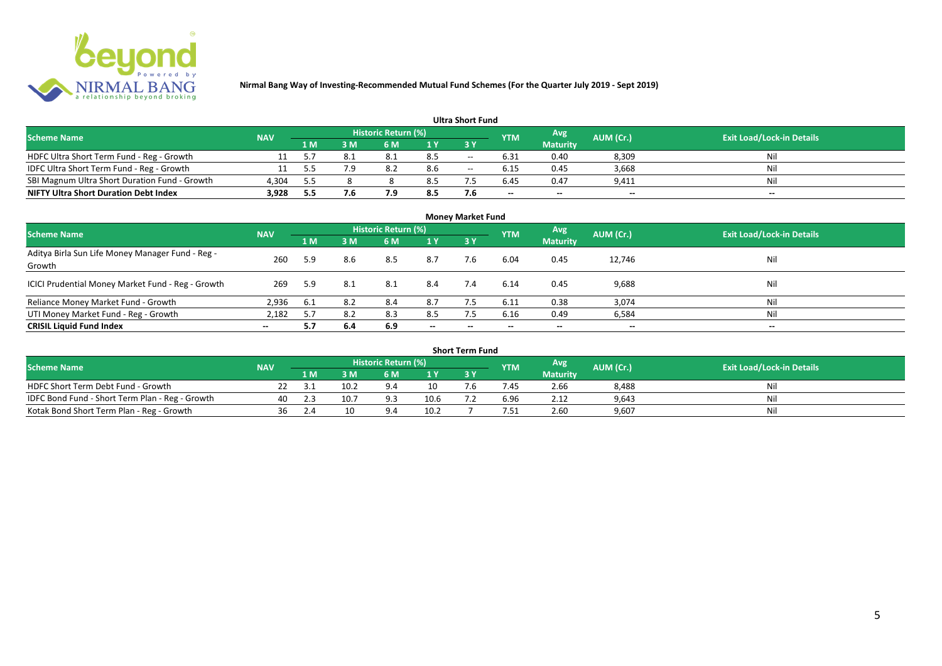

#### **1 M 3 M 6 M 1 Y 3 Y** NOFC Ultra Short Term Fund - Reg - Growth 11 5.7 8.1 8.1 8.5 -- 6.31 0.40 8,309 Nil<br>11 5.5 7.9 8.2 8.6 -- 6.15 0.45 3,668 Nil IDFC Ultra Short Term Fund - Reg - Growth 11 5.5 7.9 8.2 8.6 -- 6.15 0.45 3,668 Nil Nil<br>SBI Magnum Ultra Short Duration Fund - Growth 4.304 5.5 8 8 8.5 7.5 6.45 0.47 9.411 Nil SBI Magnum Ultra Short Duration Fund - Growth 4,304 5.5 8 8 8.5 7.5 6.45 0.47 9,411 Nil **NIFTY Ultra Short Duration Debt Index 3,928 5.5 7.6 7.9 8.5 7.6 -- -- -- -- Avg Maturity Historic Return (%) YTM Ultra Short Fund** Scheme Name **NAV NAV Historic Return (%)** NAV Historic Return (%) Note and the May AUM (Cr.) Exit Load/Lock-in Details<br>The Scheme Name of the State Load/Lock-in Details

| <b>Money Market Fund</b>                                   |            |     |     |                     |                          |       |                          |                 |                          |                                  |  |  |  |
|------------------------------------------------------------|------------|-----|-----|---------------------|--------------------------|-------|--------------------------|-----------------|--------------------------|----------------------------------|--|--|--|
| <b>Scheme Name</b>                                         | <b>NAV</b> |     |     | Historic Return (%) |                          |       | <b>YTM</b>               | Avg             | AUM (Cr.)                | <b>Exit Load/Lock-in Details</b> |  |  |  |
|                                                            |            | 1 M | 3 M | 6 M                 | 1Y                       | 3Y    |                          | <b>Maturity</b> |                          |                                  |  |  |  |
| Aditya Birla Sun Life Money Manager Fund - Reg -<br>Growth | 260        | 5.9 | 8.6 | 8.5                 | 8.7                      | 7.6   | 6.04                     | 0.45            | 12,746                   | Nil                              |  |  |  |
| ICICI Prudential Money Market Fund - Reg - Growth          | 269        | 5.9 | 8.1 | 8.1                 | 8.4                      | 7.4   | 6.14                     | 0.45            | 9,688                    | Nil                              |  |  |  |
| Reliance Money Market Fund - Growth                        | 2,936      | 6.1 | 8.2 | 8.4                 | 8.7                      |       | 6.11                     | 0.38            | 3,074                    | Nil                              |  |  |  |
| UTI Money Market Fund - Reg - Growth                       | 2,182      | 5.7 | 8.2 | 8.3                 | 8.5                      | 7.5   | 6.16                     | 0.49            | 6,584                    | Nil                              |  |  |  |
| <b>CRISIL Liquid Fund Index</b>                            | $-$        | 5.7 | 6.4 | 6.9                 | $\overline{\phantom{a}}$ | $- -$ | $\overline{\phantom{a}}$ | $\sim$          | $\overline{\phantom{a}}$ | $\overline{\phantom{a}}$         |  |  |  |

| <b>Short Term Fund</b>                          |            |     |      |                            |      |  |            |                 |           |                                  |  |  |  |
|-------------------------------------------------|------------|-----|------|----------------------------|------|--|------------|-----------------|-----------|----------------------------------|--|--|--|
| <b>Scheme Name</b>                              | <b>NAV</b> |     |      | <b>Historic Return (%)</b> |      |  | <b>YTM</b> | Avg             | AUM (Cr.) | <b>Exit Load/Lock-in Details</b> |  |  |  |
|                                                 |            | 1 M | 3 M  | 6 M                        | 1 V  |  |            | <b>Maturity</b> |           |                                  |  |  |  |
| HDFC Short Term Debt Fund - Growth              |            |     | 10.2 |                            |      |  | 7.45       | 2.66            | 8,488     | Nil                              |  |  |  |
| IDFC Bond Fund - Short Term Plan - Reg - Growth | 40         |     | 10.7 | 9.3                        | 10.6 |  | 6.96       | 2.12            | 9,643     | Nil                              |  |  |  |
| Kotak Bond Short Term Plan - Reg - Growth       | 36         | 2.4 | 10   |                            | 10.3 |  | 7.51       | 2.60            | 9,607     | Nil                              |  |  |  |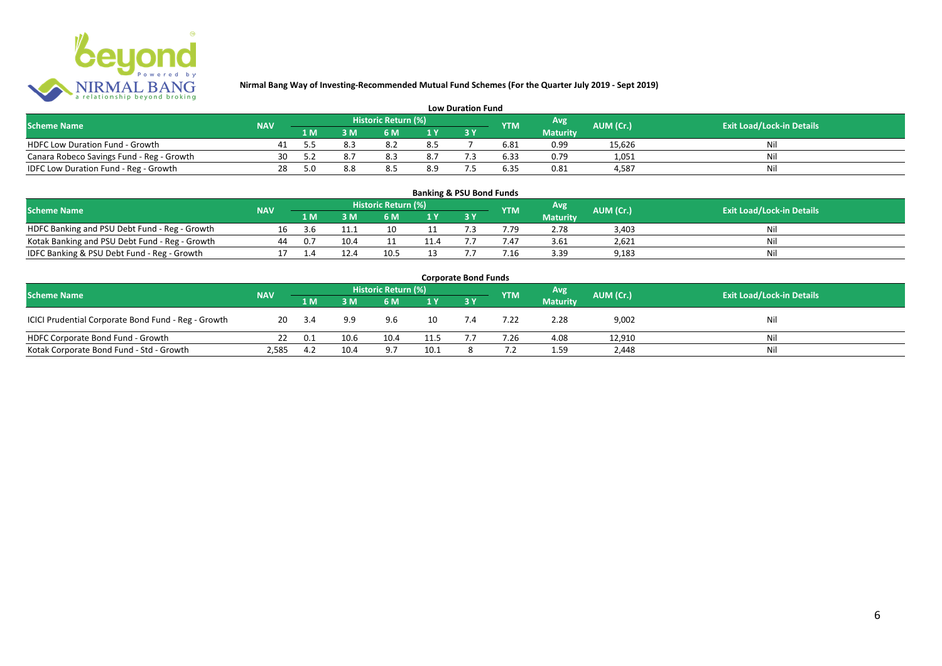

| <b>Low Duration Fund</b>                  |            |     |     |                     |     |  |            |                 |           |                                  |  |  |  |  |
|-------------------------------------------|------------|-----|-----|---------------------|-----|--|------------|-----------------|-----------|----------------------------------|--|--|--|--|
| <b>Scheme Name</b>                        | <b>NAV</b> |     |     | Historic Return (%) |     |  | <b>YTM</b> | Avg             | AUM (Cr.) | <b>Exit Load/Lock-in Details</b> |  |  |  |  |
|                                           |            | 1 M |     | 6 M.                |     |  |            | <b>Maturity</b> |           |                                  |  |  |  |  |
| <b>HDFC Low Duration Fund - Growth</b>    |            |     | 8.3 |                     | 8.5 |  | 6.81       | 0.99            | 15,626    | Nli                              |  |  |  |  |
| Canara Robeco Savings Fund - Reg - Growth | 30         |     |     | 8.3                 | 8.7 |  | 6.33       | 0.79            | 1,051     | Ni                               |  |  |  |  |
| IDFC Low Duration Fund - Reg - Growth     | 28         | 5.0 |     | 8.5                 | 8.9 |  | 6.35       | 0.81            | 4.587     | Ni                               |  |  |  |  |

| <b>Banking &amp; PSU Bond Funds</b>            |            |     |      |                     |     |  |            |                 |                  |                                  |  |  |  |  |
|------------------------------------------------|------------|-----|------|---------------------|-----|--|------------|-----------------|------------------|----------------------------------|--|--|--|--|
| <b>Scheme Name</b>                             | <b>NAV</b> |     |      | Historic Return (%) |     |  | <b>YTM</b> | Avg             | <b>AUM (Cr.)</b> | <b>Exit Load/Lock-in Details</b> |  |  |  |  |
|                                                |            | 1 M | 3 M. | 6 M                 | 1 Y |  |            | <b>Maturity</b> |                  |                                  |  |  |  |  |
| HDFC Banking and PSU Debt Fund - Reg - Growth  |            | 3.b |      |                     |     |  | 7.79       | 2.78            | 3,403            | Nil                              |  |  |  |  |
| Kotak Banking and PSU Debt Fund - Reg - Growth | 44         | 0.7 | 10.4 |                     |     |  | '.47       | 3.61            | 2,621            | Nil                              |  |  |  |  |
| IDFC Banking & PSU Debt Fund - Reg - Growth    |            |     | 12.4 | 10.5                |     |  | 7.16       | 3.39            | 9,183            | Nil                              |  |  |  |  |

| <b>Corporate Bond Funds</b>                         |            |     |      |                     |      |     |            |                 |           |                                  |  |  |  |
|-----------------------------------------------------|------------|-----|------|---------------------|------|-----|------------|-----------------|-----------|----------------------------------|--|--|--|
| <b>Scheme Name</b>                                  | <b>NAV</b> |     |      | Historic Return (%) |      |     | <b>YTM</b> | <b>Avg</b>      | AUM (Cr.) | <b>Exit Load/Lock-in Details</b> |  |  |  |
|                                                     |            | 1 M | 3 M  | 6 M                 | 1Y   |     |            | <b>Maturity</b> |           |                                  |  |  |  |
| ICICI Prudential Corporate Bond Fund - Reg - Growth | 20         |     | 9.9  | 9.6                 |      | 7.4 | 7.22       | 2.28            | 9,002     | Nil                              |  |  |  |
| HDFC Corporate Bond Fund - Growth                   |            | 0.1 | 10.6 | 10.4                | 11.5 |     | 7.26       | 4.08            | 12,910    | Ni!                              |  |  |  |
| Kotak Corporate Bond Fund - Std - Growth            | 2,585      | 4.2 | 10.4 |                     | 10.1 |     |            | 1.59            | 2,448     | Nil                              |  |  |  |